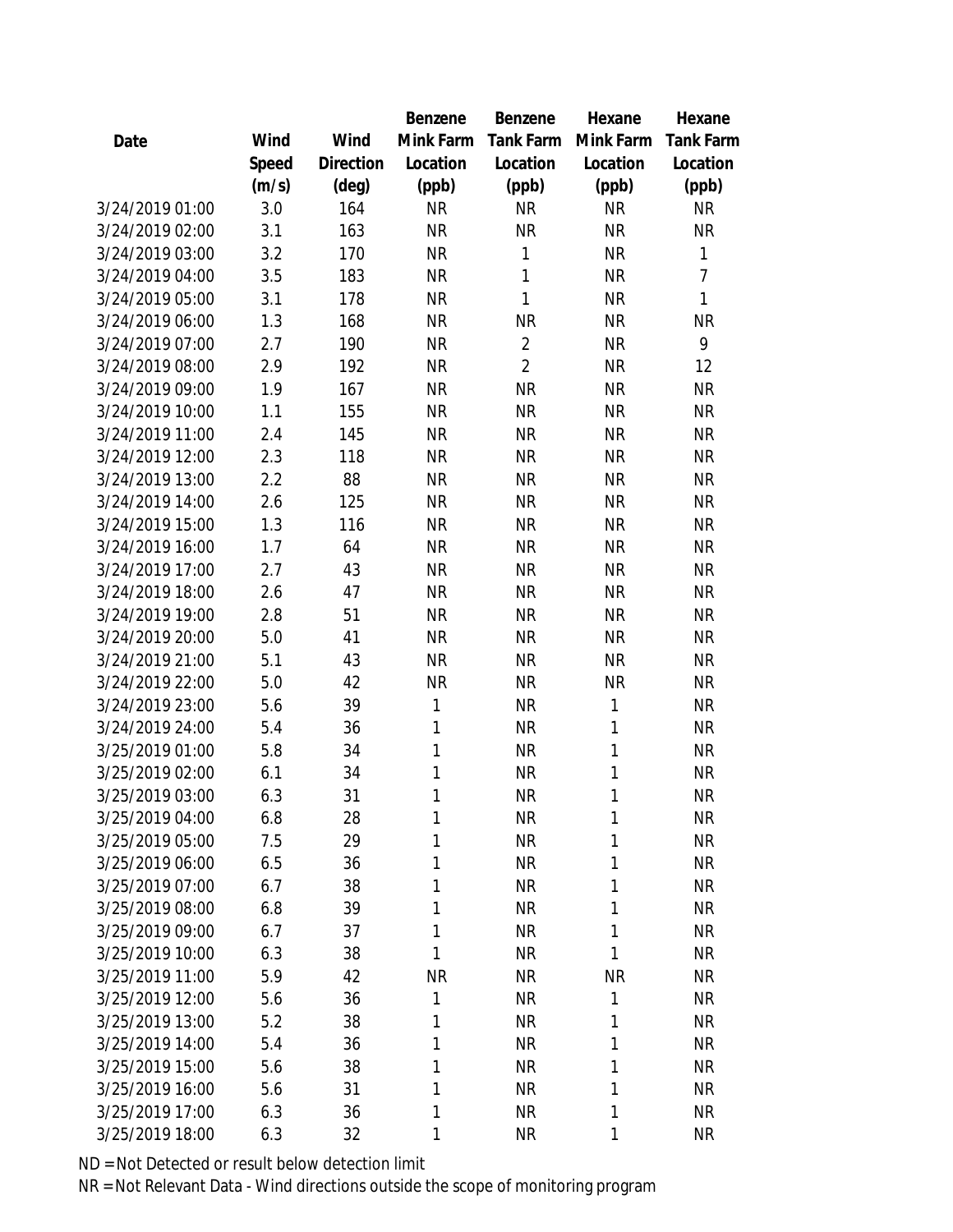|                 |       |           | Benzene   | Benzene        | Hexane       | Hexane           |
|-----------------|-------|-----------|-----------|----------------|--------------|------------------|
| Date            | Wind  | Wind      | Mink Farm | Tank Farm      | Mink Farm    | <b>Tank Farm</b> |
|                 | Speed | Direction | Location  | Location       | Location     | Location         |
|                 | (m/s) | (deg)     | (ppb)     | (ppb)          | (ppb)        | (ppb)            |
| 3/24/2019 01:00 | 3.0   | 164       | <b>NR</b> | <b>NR</b>      | <b>NR</b>    | <b>NR</b>        |
| 3/24/2019 02:00 | 3.1   | 163       | <b>NR</b> | <b>NR</b>      | <b>NR</b>    | <b>NR</b>        |
| 3/24/2019 03:00 | 3.2   | 170       | <b>NR</b> | 1              | <b>NR</b>    | $\mathbf{1}$     |
| 3/24/2019 04:00 | 3.5   | 183       | <b>NR</b> | 1              | <b>NR</b>    | $\overline{7}$   |
| 3/24/2019 05:00 | 3.1   | 178       | <b>NR</b> | 1              | <b>NR</b>    | 1                |
| 3/24/2019 06:00 | 1.3   | 168       | <b>NR</b> | <b>NR</b>      | <b>NR</b>    | <b>NR</b>        |
| 3/24/2019 07:00 | 2.7   | 190       | <b>NR</b> | $\overline{2}$ | <b>NR</b>    | 9                |
| 3/24/2019 08:00 | 2.9   | 192       | <b>NR</b> | $\overline{2}$ | <b>NR</b>    | 12               |
| 3/24/2019 09:00 | 1.9   | 167       | <b>NR</b> | <b>NR</b>      | <b>NR</b>    | <b>NR</b>        |
| 3/24/2019 10:00 | 1.1   | 155       | <b>NR</b> | <b>NR</b>      | <b>NR</b>    | <b>NR</b>        |
| 3/24/2019 11:00 | 2.4   | 145       | <b>NR</b> | <b>NR</b>      | <b>NR</b>    | <b>NR</b>        |
| 3/24/2019 12:00 | 2.3   | 118       | <b>NR</b> | <b>NR</b>      | <b>NR</b>    | <b>NR</b>        |
| 3/24/2019 13:00 | 2.2   | 88        | <b>NR</b> | <b>NR</b>      | <b>NR</b>    | <b>NR</b>        |
| 3/24/2019 14:00 | 2.6   | 125       | <b>NR</b> | <b>NR</b>      | <b>NR</b>    | <b>NR</b>        |
| 3/24/2019 15:00 | 1.3   | 116       | <b>NR</b> | <b>NR</b>      | <b>NR</b>    | <b>NR</b>        |
| 3/24/2019 16:00 | 1.7   | 64        | <b>NR</b> | <b>NR</b>      | <b>NR</b>    | <b>NR</b>        |
| 3/24/2019 17:00 | 2.7   | 43        | <b>NR</b> | <b>NR</b>      | <b>NR</b>    | <b>NR</b>        |
| 3/24/2019 18:00 | 2.6   | 47        | <b>NR</b> | <b>NR</b>      | <b>NR</b>    | <b>NR</b>        |
| 3/24/2019 19:00 | 2.8   | 51        | <b>NR</b> | <b>NR</b>      | <b>NR</b>    | <b>NR</b>        |
| 3/24/2019 20:00 | 5.0   | 41        | <b>NR</b> | <b>NR</b>      | <b>NR</b>    | <b>NR</b>        |
| 3/24/2019 21:00 | 5.1   | 43        | <b>NR</b> | <b>NR</b>      | <b>NR</b>    | <b>NR</b>        |
| 3/24/2019 22:00 | 5.0   | 42        | <b>NR</b> | <b>NR</b>      | <b>NR</b>    | <b>NR</b>        |
| 3/24/2019 23:00 | 5.6   | 39        | 1         | <b>NR</b>      | $\mathbf{1}$ | <b>NR</b>        |
| 3/24/2019 24:00 | 5.4   | 36        | 1         | <b>NR</b>      | $\mathbf{1}$ | <b>NR</b>        |
| 3/25/2019 01:00 | 5.8   | 34        | 1         | <b>NR</b>      | $\mathbf{1}$ | <b>NR</b>        |
| 3/25/2019 02:00 | 6.1   | 34        | 1         | <b>NR</b>      | $\mathbf{1}$ | <b>NR</b>        |
| 3/25/2019 03:00 | 6.3   | 31        | 1         | <b>NR</b>      | 1            | <b>NR</b>        |
| 3/25/2019 04:00 | 6.8   | 28        | 1         | <b>NR</b>      | 1            | <b>NR</b>        |
| 3/25/2019 05:00 | 7.5   | 29        | 1         | <b>NR</b>      | 1            | <b>NR</b>        |
| 3/25/2019 06:00 | 6.5   | 36        | 1         | <b>NR</b>      | 1            | <b>NR</b>        |
| 3/25/2019 07:00 | 6.7   | 38        | 1         | <b>NR</b>      | 1            | <b>NR</b>        |
| 3/25/2019 08:00 | 6.8   | 39        | 1         | <b>NR</b>      | $\mathbf{1}$ | <b>NR</b>        |
| 3/25/2019 09:00 | 6.7   | 37        | 1         | <b>NR</b>      | 1            | <b>NR</b>        |
| 3/25/2019 10:00 | 6.3   | 38        | 1         | <b>NR</b>      | 1            | <b>NR</b>        |
| 3/25/2019 11:00 | 5.9   | 42        | <b>NR</b> | <b>NR</b>      | <b>NR</b>    | <b>NR</b>        |
| 3/25/2019 12:00 | 5.6   | 36        | 1         | <b>NR</b>      | $\mathbf{1}$ | <b>NR</b>        |
| 3/25/2019 13:00 | 5.2   | 38        | 1         | <b>NR</b>      | 1            | <b>NR</b>        |
| 3/25/2019 14:00 | 5.4   | 36        | 1         | <b>NR</b>      | 1            | <b>NR</b>        |
| 3/25/2019 15:00 | 5.6   | 38        | 1         | <b>NR</b>      | 1            | <b>NR</b>        |
| 3/25/2019 16:00 | 5.6   | 31        | 1         | <b>NR</b>      | 1            | <b>NR</b>        |
| 3/25/2019 17:00 | 6.3   | 36        | 1         | <b>NR</b>      | 1            | <b>NR</b>        |
| 3/25/2019 18:00 | 6.3   | 32        | 1         | <b>NR</b>      | $\mathbf{1}$ | <b>NR</b>        |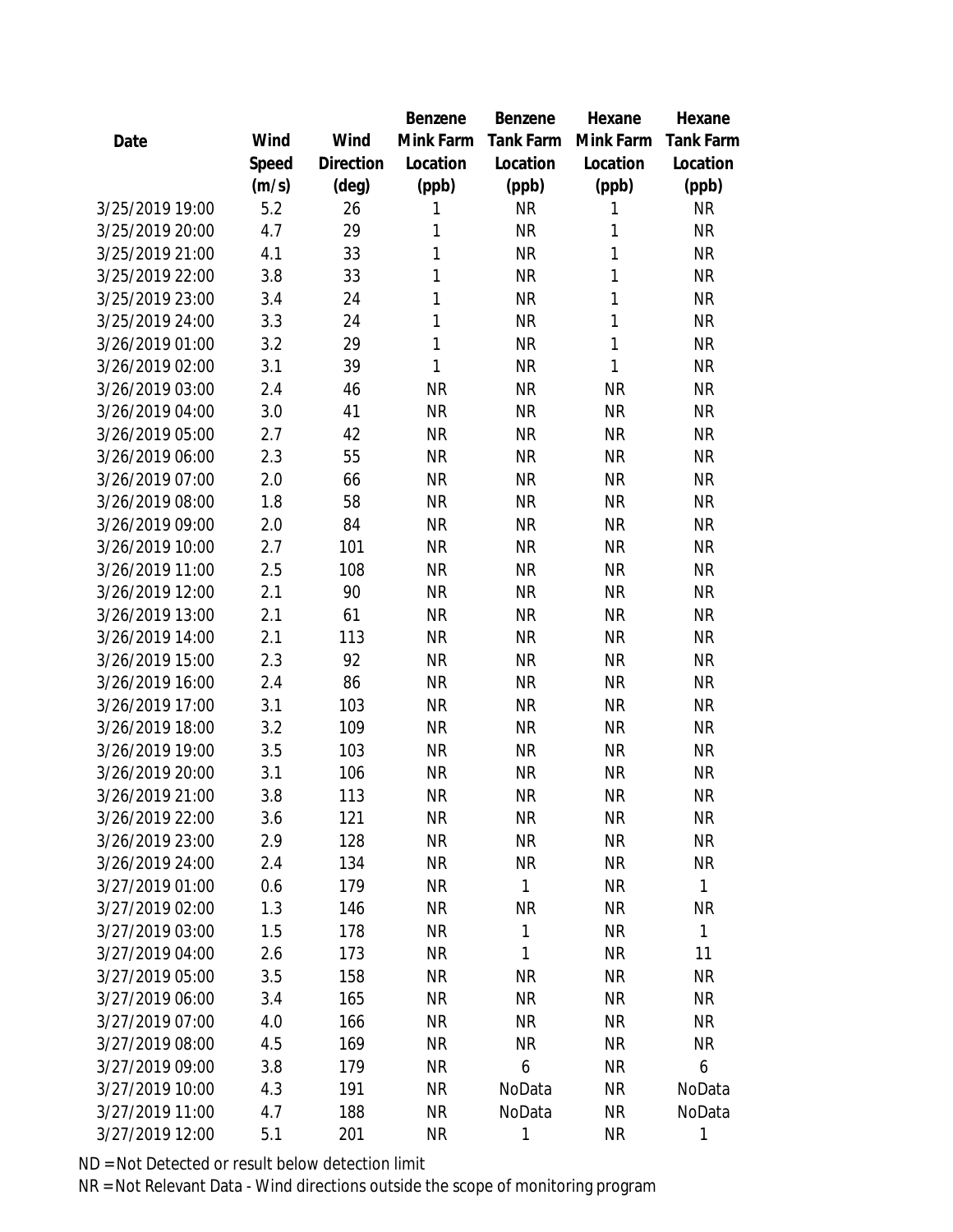|                 |       |                | <b>Benzene</b> | Benzene   | Hexane    | Hexane       |
|-----------------|-------|----------------|----------------|-----------|-----------|--------------|
| Date            | Wind  | Wind           | Mink Farm      | Tank Farm | Mink Farm | Tank Farm    |
|                 | Speed | Direction      | Location       | Location  | Location  | Location     |
|                 | (m/s) | $(\text{deg})$ | (ppb)          | (ppb)     | (ppb)     | (ppb)        |
| 3/25/2019 19:00 | 5.2   | 26             | 1              | <b>NR</b> | 1         | <b>NR</b>    |
| 3/25/2019 20:00 | 4.7   | 29             | 1              | <b>NR</b> | 1         | <b>NR</b>    |
| 3/25/2019 21:00 | 4.1   | 33             | 1              | <b>NR</b> | 1         | <b>NR</b>    |
| 3/25/2019 22:00 | 3.8   | 33             | 1              | <b>NR</b> | 1         | <b>NR</b>    |
| 3/25/2019 23:00 | 3.4   | 24             | 1              | <b>NR</b> | 1         | <b>NR</b>    |
| 3/25/2019 24:00 | 3.3   | 24             | 1              | <b>NR</b> | 1         | <b>NR</b>    |
| 3/26/2019 01:00 | 3.2   | 29             | 1              | <b>NR</b> | 1         | <b>NR</b>    |
| 3/26/2019 02:00 | 3.1   | 39             | $\mathbf{1}$   | <b>NR</b> | 1         | <b>NR</b>    |
| 3/26/2019 03:00 | 2.4   | 46             | <b>NR</b>      | <b>NR</b> | <b>NR</b> | <b>NR</b>    |
| 3/26/2019 04:00 | 3.0   | 41             | <b>NR</b>      | <b>NR</b> | <b>NR</b> | <b>NR</b>    |
| 3/26/2019 05:00 | 2.7   | 42             | <b>NR</b>      | <b>NR</b> | <b>NR</b> | <b>NR</b>    |
| 3/26/2019 06:00 | 2.3   | 55             | <b>NR</b>      | <b>NR</b> | <b>NR</b> | <b>NR</b>    |
| 3/26/2019 07:00 | 2.0   | 66             | <b>NR</b>      | <b>NR</b> | <b>NR</b> | <b>NR</b>    |
| 3/26/2019 08:00 | 1.8   | 58             | <b>NR</b>      | <b>NR</b> | <b>NR</b> | <b>NR</b>    |
| 3/26/2019 09:00 | 2.0   | 84             | <b>NR</b>      | <b>NR</b> | <b>NR</b> | <b>NR</b>    |
| 3/26/2019 10:00 | 2.7   | 101            | <b>NR</b>      | <b>NR</b> | <b>NR</b> | <b>NR</b>    |
| 3/26/2019 11:00 | 2.5   | 108            | <b>NR</b>      | <b>NR</b> | <b>NR</b> | <b>NR</b>    |
| 3/26/2019 12:00 | 2.1   | 90             | <b>NR</b>      | <b>NR</b> | <b>NR</b> | <b>NR</b>    |
| 3/26/2019 13:00 | 2.1   | 61             | <b>NR</b>      | <b>NR</b> | <b>NR</b> | <b>NR</b>    |
| 3/26/2019 14:00 | 2.1   | 113            | <b>NR</b>      | <b>NR</b> | <b>NR</b> | <b>NR</b>    |
| 3/26/2019 15:00 | 2.3   | 92             | <b>NR</b>      | <b>NR</b> | <b>NR</b> | <b>NR</b>    |
| 3/26/2019 16:00 | 2.4   | 86             | <b>NR</b>      | <b>NR</b> | <b>NR</b> | <b>NR</b>    |
| 3/26/2019 17:00 | 3.1   | 103            | <b>NR</b>      | <b>NR</b> | <b>NR</b> | <b>NR</b>    |
| 3/26/2019 18:00 | 3.2   | 109            | <b>NR</b>      | <b>NR</b> | <b>NR</b> | <b>NR</b>    |
| 3/26/2019 19:00 | 3.5   | 103            | <b>NR</b>      | <b>NR</b> | <b>NR</b> | <b>NR</b>    |
| 3/26/2019 20:00 | 3.1   | 106            | <b>NR</b>      | <b>NR</b> | <b>NR</b> | <b>NR</b>    |
| 3/26/2019 21:00 | 3.8   | 113            | <b>NR</b>      | <b>NR</b> | <b>NR</b> | <b>NR</b>    |
| 3/26/2019 22:00 | 3.6   | 121            | ΝR             | <b>NR</b> | <b>NR</b> | ΝR           |
| 3/26/2019 23:00 | 2.9   | 128            | <b>NR</b>      | <b>NR</b> | <b>NR</b> | <b>NR</b>    |
| 3/26/2019 24:00 | 2.4   | 134            | <b>NR</b>      | <b>NR</b> | <b>NR</b> | <b>NR</b>    |
| 3/27/2019 01:00 | 0.6   | 179            | <b>NR</b>      | 1         | <b>NR</b> | $\mathbf{1}$ |
| 3/27/2019 02:00 | 1.3   | 146            | <b>NR</b>      | <b>NR</b> | <b>NR</b> | <b>NR</b>    |
| 3/27/2019 03:00 | 1.5   | 178            | <b>NR</b>      | 1         | <b>NR</b> | $\mathbf{1}$ |
| 3/27/2019 04:00 | 2.6   | 173            | <b>NR</b>      | 1         | <b>NR</b> | 11           |
| 3/27/2019 05:00 | 3.5   | 158            | <b>NR</b>      | <b>NR</b> | <b>NR</b> | NR           |
| 3/27/2019 06:00 | 3.4   | 165            | NR             | <b>NR</b> | <b>NR</b> | <b>NR</b>    |
| 3/27/2019 07:00 | 4.0   | 166            | <b>NR</b>      | <b>NR</b> | <b>NR</b> | <b>NR</b>    |
| 3/27/2019 08:00 | 4.5   | 169            | <b>NR</b>      | <b>NR</b> | <b>NR</b> | <b>NR</b>    |
| 3/27/2019 09:00 | 3.8   | 179            | <b>NR</b>      | 6         | <b>NR</b> | 6            |
| 3/27/2019 10:00 | 4.3   | 191            | <b>NR</b>      | NoData    | NR        | NoData       |
| 3/27/2019 11:00 | 4.7   | 188            | <b>NR</b>      | NoData    | <b>NR</b> | NoData       |
| 3/27/2019 12:00 | 5.1   | 201            | <b>NR</b>      | 1         | <b>NR</b> | 1            |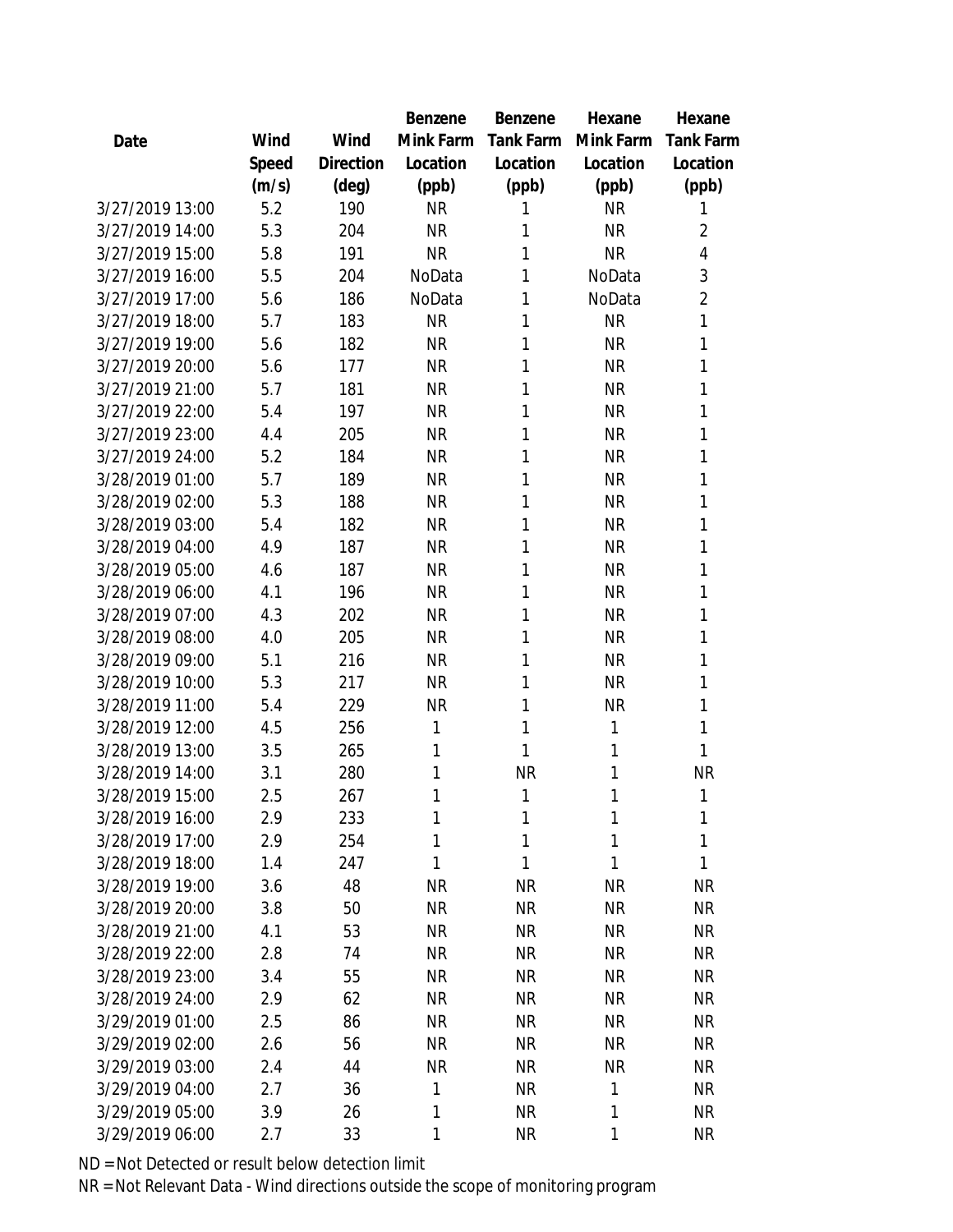|                 |       |                | Benzene   | Benzene   | Hexane    | Hexane         |
|-----------------|-------|----------------|-----------|-----------|-----------|----------------|
| Date            | Wind  | Wind           | Mink Farm | Tank Farm | Mink Farm | Tank Farm      |
|                 | Speed | Direction      | Location  | Location  | Location  | Location       |
|                 | (m/s) | $(\text{deg})$ | (ppb)     | (ppb)     | (ppb)     | (ppb)          |
| 3/27/2019 13:00 | 5.2   | 190            | <b>NR</b> | 1         | <b>NR</b> | 1              |
| 3/27/2019 14:00 | 5.3   | 204            | <b>NR</b> | 1         | <b>NR</b> | $\overline{2}$ |
| 3/27/2019 15:00 | 5.8   | 191            | <b>NR</b> | 1         | <b>NR</b> | $\overline{4}$ |
| 3/27/2019 16:00 | 5.5   | 204            | NoData    | 1         | NoData    | 3              |
| 3/27/2019 17:00 | 5.6   | 186            | NoData    | 1         | NoData    | $\overline{2}$ |
| 3/27/2019 18:00 | 5.7   | 183            | <b>NR</b> | 1         | <b>NR</b> | 1              |
| 3/27/2019 19:00 | 5.6   | 182            | <b>NR</b> | 1         | <b>NR</b> | 1              |
| 3/27/2019 20:00 | 5.6   | 177            | <b>NR</b> | 1         | <b>NR</b> | 1              |
| 3/27/2019 21:00 | 5.7   | 181            | <b>NR</b> | 1         | <b>NR</b> | 1              |
| 3/27/2019 22:00 | 5.4   | 197            | <b>NR</b> | 1         | <b>NR</b> | 1              |
| 3/27/2019 23:00 | 4.4   | 205            | <b>NR</b> | 1         | <b>NR</b> | 1              |
| 3/27/2019 24:00 | 5.2   | 184            | <b>NR</b> | 1         | <b>NR</b> | 1              |
| 3/28/2019 01:00 | 5.7   | 189            | <b>NR</b> | 1         | <b>NR</b> | 1              |
| 3/28/2019 02:00 | 5.3   | 188            | <b>NR</b> | 1         | <b>NR</b> | 1              |
| 3/28/2019 03:00 | 5.4   | 182            | <b>NR</b> | 1         | <b>NR</b> | 1              |
| 3/28/2019 04:00 | 4.9   | 187            | <b>NR</b> | 1         | <b>NR</b> | 1              |
| 3/28/2019 05:00 | 4.6   | 187            | <b>NR</b> | 1         | <b>NR</b> | 1              |
| 3/28/2019 06:00 | 4.1   | 196            | <b>NR</b> | 1         | <b>NR</b> | 1              |
| 3/28/2019 07:00 | 4.3   | 202            | <b>NR</b> | 1         | <b>NR</b> | 1              |
| 3/28/2019 08:00 | 4.0   | 205            | <b>NR</b> | 1         | <b>NR</b> | 1              |
| 3/28/2019 09:00 | 5.1   | 216            | <b>NR</b> | 1         | <b>NR</b> | 1              |
| 3/28/2019 10:00 | 5.3   | 217            | <b>NR</b> | 1         | <b>NR</b> | 1              |
| 3/28/2019 11:00 | 5.4   | 229            | <b>NR</b> | 1         | <b>NR</b> | 1              |
| 3/28/2019 12:00 | 4.5   | 256            | 1         | 1         | 1         | 1              |
| 3/28/2019 13:00 | 3.5   | 265            | 1         | 1         | 1         | 1              |
| 3/28/2019 14:00 | 3.1   | 280            | 1         | <b>NR</b> | 1         | <b>NR</b>      |
| 3/28/2019 15:00 | 2.5   | 267            | 1         | 1         | 1         | 1              |
| 3/28/2019 16:00 | 2.9   | 233            | 1         | 1         | 1         | 1              |
| 3/28/2019 17:00 | 2.9   | 254            | 1         | 1         | 1         | 1              |
| 3/28/2019 18:00 | 1.4   | 247            | 1         | 1         | 1         | 1              |
| 3/28/2019 19:00 | 3.6   | 48             | <b>NR</b> | <b>NR</b> | <b>NR</b> | <b>NR</b>      |
| 3/28/2019 20:00 | 3.8   | 50             | <b>NR</b> | <b>NR</b> | <b>NR</b> | <b>NR</b>      |
| 3/28/2019 21:00 | 4.1   | 53             | <b>NR</b> | <b>NR</b> | <b>NR</b> | <b>NR</b>      |
| 3/28/2019 22:00 | 2.8   | 74             | <b>NR</b> | <b>NR</b> | <b>NR</b> | <b>NR</b>      |
| 3/28/2019 23:00 | 3.4   | 55             | <b>NR</b> | <b>NR</b> | <b>NR</b> | <b>NR</b>      |
| 3/28/2019 24:00 | 2.9   | 62             | <b>NR</b> | <b>NR</b> | <b>NR</b> | <b>NR</b>      |
| 3/29/2019 01:00 | 2.5   | 86             | <b>NR</b> | <b>NR</b> | <b>NR</b> | <b>NR</b>      |
| 3/29/2019 02:00 | 2.6   | 56             | <b>NR</b> | <b>NR</b> | <b>NR</b> | <b>NR</b>      |
| 3/29/2019 03:00 | 2.4   | 44             | <b>NR</b> | <b>NR</b> | <b>NR</b> | <b>NR</b>      |
| 3/29/2019 04:00 | 2.7   | 36             | 1         | <b>NR</b> | 1         | <b>NR</b>      |
| 3/29/2019 05:00 | 3.9   | 26             | 1         | <b>NR</b> | 1         | <b>NR</b>      |
| 3/29/2019 06:00 | 2.7   | 33             | 1         | <b>NR</b> | 1         | <b>NR</b>      |